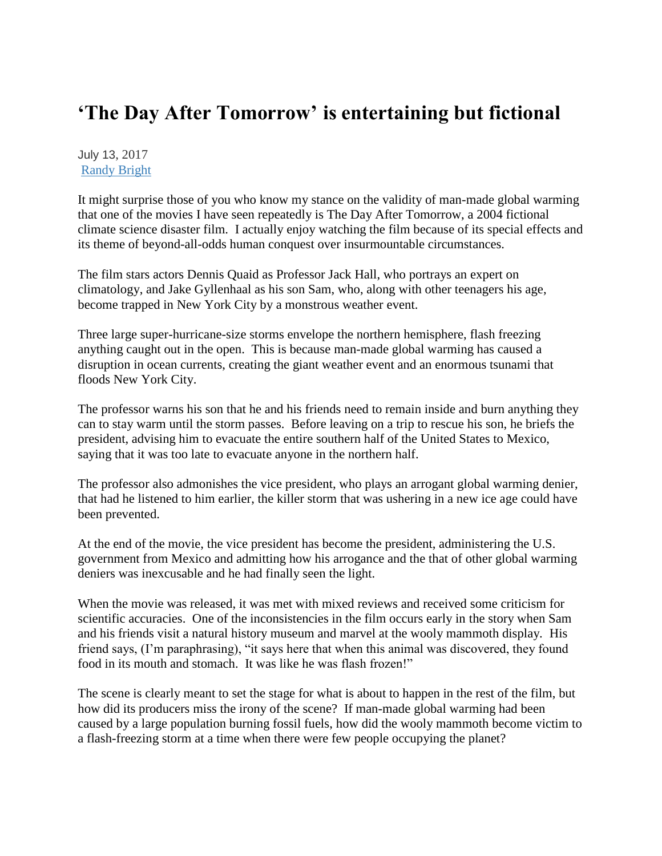## **'The Day After Tomorrow' is entertaining but fictional**

July 13, 2017 [Randy Bright](http://tulsabeacon.com/author/randy-bright/)

It might surprise those of you who know my stance on the validity of man-made global warming that one of the movies I have seen repeatedly is The Day After Tomorrow, a 2004 fictional climate science disaster film. I actually enjoy watching the film because of its special effects and its theme of beyond-all-odds human conquest over insurmountable circumstances.

The film stars actors Dennis Quaid as Professor Jack Hall, who portrays an expert on climatology, and Jake Gyllenhaal as his son Sam, who, along with other teenagers his age, become trapped in New York City by a monstrous weather event.

Three large super-hurricane-size storms envelope the northern hemisphere, flash freezing anything caught out in the open. This is because man-made global warming has caused a disruption in ocean currents, creating the giant weather event and an enormous tsunami that floods New York City.

The professor warns his son that he and his friends need to remain inside and burn anything they can to stay warm until the storm passes. Before leaving on a trip to rescue his son, he briefs the president, advising him to evacuate the entire southern half of the United States to Mexico, saying that it was too late to evacuate anyone in the northern half.

The professor also admonishes the vice president, who plays an arrogant global warming denier, that had he listened to him earlier, the killer storm that was ushering in a new ice age could have been prevented.

At the end of the movie, the vice president has become the president, administering the U.S. government from Mexico and admitting how his arrogance and the that of other global warming deniers was inexcusable and he had finally seen the light.

When the movie was released, it was met with mixed reviews and received some criticism for scientific accuracies. One of the inconsistencies in the film occurs early in the story when Sam and his friends visit a natural history museum and marvel at the wooly mammoth display. His friend says, (I'm paraphrasing), "it says here that when this animal was discovered, they found food in its mouth and stomach. It was like he was flash frozen!"

The scene is clearly meant to set the stage for what is about to happen in the rest of the film, but how did its producers miss the irony of the scene? If man-made global warming had been caused by a large population burning fossil fuels, how did the wooly mammoth become victim to a flash-freezing storm at a time when there were few people occupying the planet?